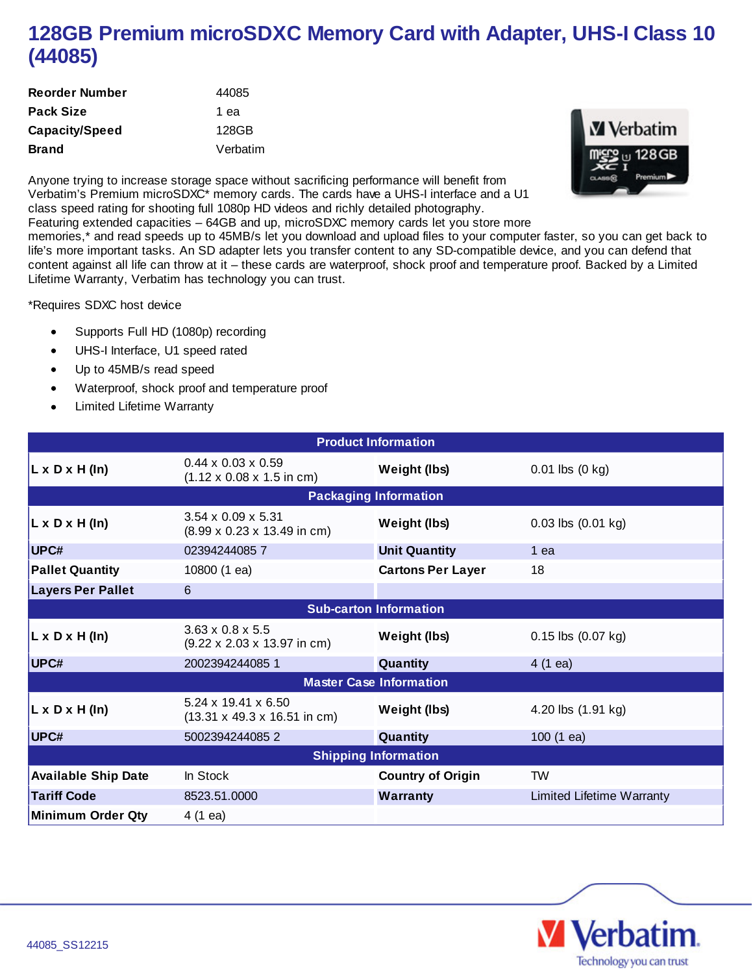## **128GB Premium microSDXC Memory Card with Adapter, UHS-I Class 10 (44085)**

| <b>Reorder Number</b> | 44085    |
|-----------------------|----------|
| <b>Pack Size</b>      | 1 ea     |
| Capacity/Speed        | 128GB    |
| <b>Brand</b>          | Verbatim |



Anyone trying to increase storage space without sacrificing performance will benefit from Verbatim's Premium microSDXC\* memory cards. The cards have a UHS-I interface and a U1 class speed rating for shooting full 1080p HD videos and richly detailed photography.

Featuring extended capacities – 64GB and up, microSDXC memory cards let you store more

memories,\* and read speeds up to 45MB/s let you download and upload files to your computer faster, so you can get back to life's more important tasks. An SD adapter lets you transfer content to any SD-compatible device, and you can defend that content against all life can throw at it – these cards are waterproof, shock proof and temperature proof. Backed by a Limited Lifetime Warranty, Verbatim has technology you can trust.

\*Requires SDXC host device

- Supports Full HD (1080p) recording
- UHS-I Interface, U1 speed rated
- Up to 45MB/s read speed  $\bullet$
- Waterproof, shock proof and temperature proof  $\bullet$
- Limited Lifetime Warranty  $\bullet$

| <b>Product Information</b>     |                                                                                   |                          |                             |
|--------------------------------|-----------------------------------------------------------------------------------|--------------------------|-----------------------------|
| $L \times D \times H$ (In)     | $0.44 \times 0.03 \times 0.59$<br>$(1.12 \times 0.08 \times 1.5 \text{ in cm})$   | Weight (lbs)             | $0.01$ lbs $(0 \text{ kg})$ |
| <b>Packaging Information</b>   |                                                                                   |                          |                             |
| $L \times D \times H$ (In)     | $3.54 \times 0.09 \times 5.31$<br>$(8.99 \times 0.23 \times 13.49 \text{ in cm})$ | Weight (lbs)             | $0.03$ lbs $(0.01$ kg)      |
| UPC#                           | 023942440857                                                                      | <b>Unit Quantity</b>     | 1 ea                        |
| <b>Pallet Quantity</b>         | 10800 (1 ea)                                                                      | <b>Cartons Per Layer</b> | 18                          |
| <b>Layers Per Pallet</b>       | 6                                                                                 |                          |                             |
| <b>Sub-carton Information</b>  |                                                                                   |                          |                             |
| $L \times D \times H$ (In)     | $3.63 \times 0.8 \times 5.5$<br>$(9.22 \times 2.03 \times 13.97 \text{ in cm})$   | Weight (lbs)             | $0.15$ lbs $(0.07$ kg)      |
| UPC#                           | 2002394244085 1                                                                   | Quantity                 | $4(1 \text{ ea})$           |
| <b>Master Case Information</b> |                                                                                   |                          |                             |
| $L \times D \times H$ (In)     | 5.24 x 19.41 x 6.50<br>$(13.31 \times 49.3 \times 16.51 \text{ in cm})$           | Weight (lbs)             | 4.20 lbs (1.91 kg)          |
| UPC#                           | 5002394244085 2                                                                   | Quantity                 | $100(1)$ ea)                |
| <b>Shipping Information</b>    |                                                                                   |                          |                             |
| <b>Available Ship Date</b>     | In Stock                                                                          | <b>Country of Origin</b> | TW.                         |
| <b>Tariff Code</b>             | 8523.51.0000                                                                      | <b>Warranty</b>          | Limited Lifetime Warranty   |
| <b>Minimum Order Qty</b>       | $4(1 \text{ ea})$                                                                 |                          |                             |